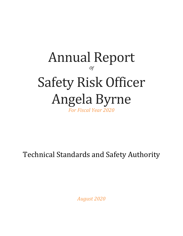# Annual Report *Of* Safety Risk Officer Angela Byrne *For Fiscal Year 2020*

Technical Standards and Safety Authority

*August 2020*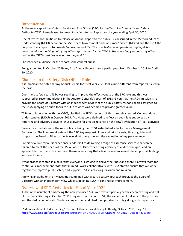### **Introduction**

As the newly appointed Ontario Safety and Risk Officer (SRO) for the Technical Standards and Safety Authority (TSSA) I am pleased to present my first Annual Report for the year ending April 30, 2020.

One of my responsibilities is to release an Annual Report to the public. As described in the Memorandum of Understanding (MOU) between the Ministry of Government and Consumer Services (MGCS) and the TSSA the purpose of my report is to provide *"an overview of the CSRO's activities and operations, highlight key recommendations arising out of any other report issued by the CSRO in the preceding year, and any other matter the CSRO considers relevant to the public*<sup>1</sup> ."

The intended audience for the report is the general public.

Being appointed in October 2019, my first Annual Report is for a partial year; from October 1, 2019 to April 30, 2020.

# Changes to the Safety Risk Officer Role

It is important to note that my Annual Report for fiscal year 2020 looks quite different from reports issued in the past.

Over the last few years TSSA was seeking to improve the effectiveness of the SRO role and this was supported by recommendations in the Auditor Generals' report of 2018. Given that the SRO's mission is to provide the Board of Directors with an independent review of the public safety responsibilities assigned to the TSSA applying an audit focus to SRO activities was deemed to provide greater value.

TSSA in collaboration with the MGCS, clarified the SRO's responsibilities through a revised Memorandum of Understanding (MOU) in October 2019. Activities were defined to reflect an audit lens supported by reporting and advisory activities, thus allowing for greater reliance on the SRO's evaluation of TSSA activities.

To ensure expectations of the new role are being met, TSSA established a Performance Management Framework. The Framework sets out the SRO key responsibilities and priority weighting. It guides and supports the Board of Directors in its oversight of my role and the evaluation of my performance.

To this new role my audit experience lends itself to delivering a range of assurance services that can be tailored to meet the needs of the TSSA Board of Directors. I bring a variety of audit techniques and an approach to the role with a common theme of ensuring that a level of evidence exists to support all findings and conclusions.

My approach is rooted in a belief that everyone is striving to deliver their best and there is always room for continuous improvement. With that in mind I work collaboratively with TSSA staff to ensure that we work together to improve public safety and support TSSA in achieving its vision and mission.

Applying an audit lens to my activities combined with a participatory approach provides the Board of Directors with an independent view while supporting TSSA in continuous improvement.

# Overview of SRO Activities for Fiscal Year 2020

As the new incumbent embracing the newly focused SRO role my first partial year has been exciting and full of discovery. Starting in October 2019 I began to learn about TSSA, the value that it delivers to the province, and the dedication of staff. Much reading ensued and I had the opportunity to tag along with inspectors

<sup>&</sup>lt;sup>1</sup> "Memorandum of Understanding", Technical Standards and Safety Authority, October 2019, page 12, <https://www.tssa.org/en/about-tssa/resources/MEMORANDUM-OF-UNDERSTANDING---October-2019.pdf>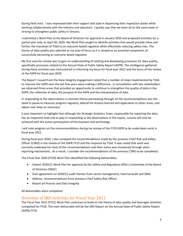during field visits. I was impressed with their rapport and style in dispensing their inspection duties while working collaboratively with the industry and operators. I quickly saw that we were all on the same team in striving to strengthen public safety in Ontario.

I submitted a Work Plan to the Board of Directors for approval in January 2020 and proposed activities for a partial year only; to April 30, 2020. My Work Plan sought to identify activities that would provide value and further the transition of TSSA to an outcome-based regulator while effectively reducing safety risks. The theme of data quality was selected as my area of focus as it is viewed as an essential component of successfully becoming an outcome-based regulator.

My first area for review was to gain an understanding of existing and developing processes for data quality, specifically processes related to the Annual State of Public Safety Report (ASPR). The intelligence gathered during these activities was instrumental in informing my focus for fiscal year 2021 and the focus of the review of the ASPR for fiscal year 2020.

The Report I issued from the Data Integrity engagement noted that a number of steps implemented by TSSA to improve the ASPR over the last few years were making a difference. In consultation with key stakeholders we observed three areas that provided an opportunity to continue to strengthen the quality of data in the ASPR; the collection of data, the purpose of the ASPR and the interpretation of data.

In responding to the observations a common theme permeating through all the recommendations was the need to pause to measure progress regularly, debrief for lessons learned and application to other areas, and adjust next steps as necessary.

It was important to highlight that although the Strategic Analytics Team, responsible for reporting the data, has an important lead role to play in responding to the observations in the report, success will only be achieved with the active participation of the business and technology.

I will note progress on the recommendations during my review of the FY20 ASPR to be undertaken early in fiscal year 2021.

During fiscal year 2020, I also reviewed the recommendations made by the previous Chief Risk and Safety Officer (CSRO) in the review of the ASPR FY19 and the response by TSSA. It was noted that work was currently underway for most of the recommendations and their status was monitored through other reporting mechanisms. As a result, I consider the recommendations of the previous CSRO to be completed.

The Fiscal Year 2020 (FY20) Work Plan identified the following deliverables:

- Submit 2020/21 Work Plan for approval by the Safety and Regulatory Affairs Committee of the Board of Directors (SRAC)
- Gain agreement on 2020/21 audit themes from senior management, Internal Audit and SRAC
- Address recommendations from previous Chief Safety Risk Officer
- Report on Process and Data Integrity

All deliverables were completed.

#### Overview of SRO Activities for Fiscal Year 2021

The Fiscal Year 2021 (FY21) Work Plan continues to build on the theme of data quality and leverages activities completed for FY20. The main deliverable will be the SRO Report on the Annual State of Public Safety Report (ASPR) FY20.